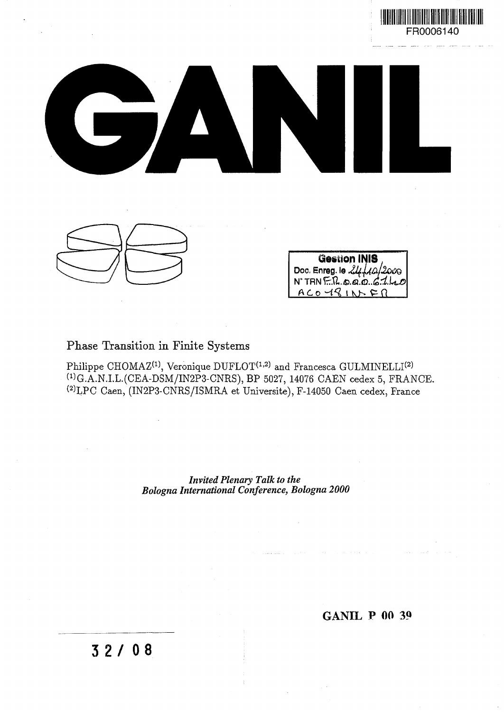



| <b>Gestion INIS</b>                          |
|----------------------------------------------|
| Doc. Enreg. le $24/10/2000$                  |
| $N$ TRN $F.R. \omega \omega \omega . G.1.40$ |
| ACOUSINFR                                    |

# Phase Transition in Finite Systems

 ${\rm Philippe\ CHOMAZ^{(1)}},$  Veronique  ${\rm DUFLOT^{(1,2)}}$  and Francesca  ${\rm GULMINELLI^{(2)}}$ ( 1 )G.A.N.I.L.(CEA-DSM/IN2P3-CNRS), BP 5027, 14076 CAEN cedex 5, FRANCE. ( 2 >LPC Caen, (IN2P3-CNRS/ISMRA et Universite), F-14050 Caen cedex, France

> *Invited Plenary Talk to the Bologna International Conference, Bologna 2000*

> > GANIL P 00 39

**3 2 / 08**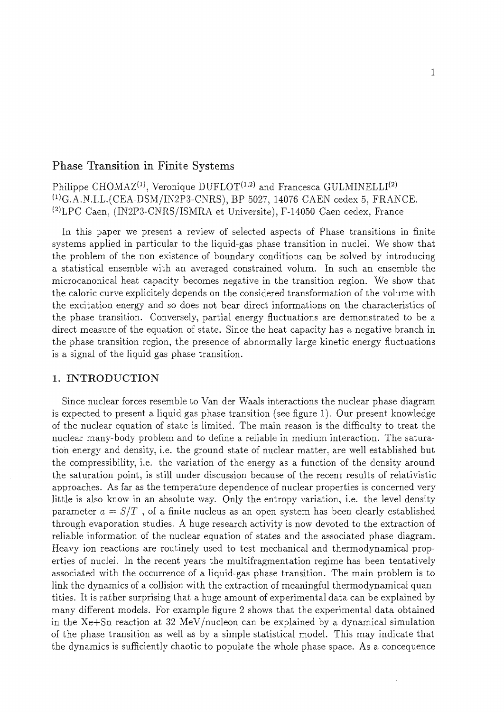## Phase Transition in Finite Systems

 $\mathrm{Philippe}\ \mathrm{CHOMAZ}^{(1)},$  Veronique  $\mathrm{DUFLOT}^{(1,2)}$  and Francesca  $\mathrm{GULMINELLI}^{(2)}$ ( 1 )G.A.N.I.L.(CEA-DSM/IN2P3-CNRS), BP 5027, 14076 CAEN cedex 5, FRANCE. ( 2 )LPC Caen, (IN2P3-CNRS/ISMRA et Universite), F-14050 Caen cedex, France

In this paper we present a review of selected aspects of Phase transitions in finite systems applied in particular to the liquid-gas phase transition in nuclei. We show that the problem of the non existence of boundary conditions can be solved by introducing a statistical ensemble with an averaged constrained volum. In such an ensemble the microcanonical heat capacity becomes negative in the transition region. We show that the caloric curve explicitely depends on the considered transformation of the volume with the excitation energy and so does not bear direct informations on the characteristics of the phase transition. Conversely, partial energy fluctuations are demonstrated to be a direct measure of the equation of state. Since the heat capacity has a negative branch in the phase transition region, the presence of abnormally large kinetic energy fluctuations is a signal of the liquid gas phase transition.

#### **1. INTRODUCTION**

Since nuclear forces resemble to Van der Waals interactions the nuclear phase diagram is expected to present a liquid gas phase transition (see figure 1). Our present knowledge of the nuclear equation of state is limited. The main reason is the difficulty to treat the nuclear many-body problem and to define a reliable in medium interaction. The saturation energy and density, i.e. the ground state of nuclear matter, are well established but the compressibility, i.e. the variation of the energy as a function of the density around the saturation point, is still under discussion because of the recent results of relativistic approaches. As far as the temperature dependence of nuclear properties is concerned very little is also know in an absolute way. Only the entropy variation, i.e. the level density parameter  $a = S/T$ , of a finite nucleus as an open system has been clearly established through evaporation studies. A huge research activity is now devoted to the extraction of reliable information of the nuclear equation of states and the associated phase diagram. Heavy ion reactions are routinely used to test mechanical and thermodynamical properties of nuclei. In the recent years the multifragmentation regime has been tentatively associated with the occurrence of a liquid-gas phase transition. The main problem is to link the dynamics of a collision with the extraction of meaningful thermodynamical quantities. It is rather surprising that a huge amount of experimental data can be explained by many different models. For example figure 2 shows that the experimental data obtained in the Xe+Sn reaction at 32 MeV/nucleon can be explained by a dynamical simulation of the phase transition as well as by a simple statistical model. This may indicate that the dynamics is sufficiently chaotic to populate the whole phase space. As a concequence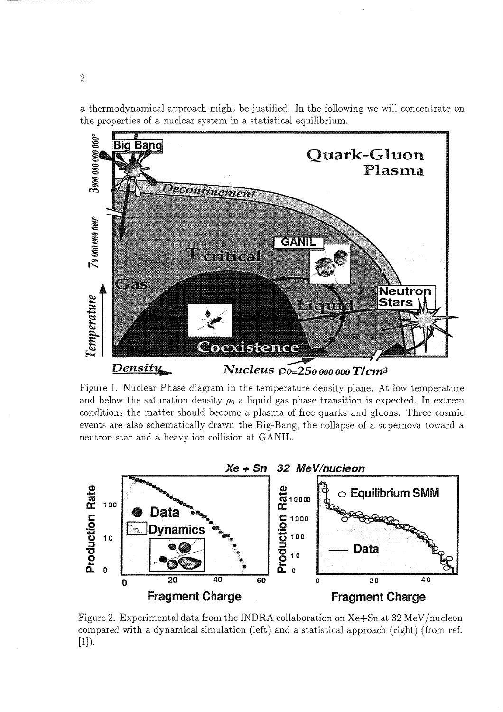a thermodynamical approach might be justified. In the following we will concentrate on the properties of a nuclear system in a statistical equilibrium.



Figure 1. Nuclear Phase diagram in the temperature density plane. At low temperature and below the saturation density  $\rho_0$  a liquid gas phase transition is expected. In extrem conditions the matter should become a plasma of free quarks and gluons. Three cosmic events are also schematically drawn the Big-Bang, the collapse of a supernova toward a neutron star and a heavy ion collision at GANIL.



Figure 2. Experimental data from the INDRA collaboration on Xe+Sn at 32 MeV/nucleon compared with a dynamical simulation (left) and a statistical approach (right) (from ref.  $[1]$ ).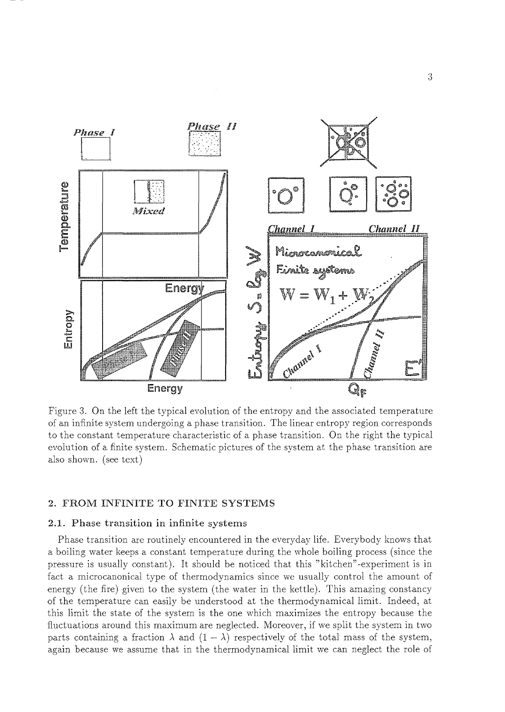

Figure 3. On the left the typical evolution of the entropy and the associated temperature of an infinite system undergoing a phase transition. The linear entropy region corresponds to the constant temperature characteristic of a phase transition. On the right the typical evolution of a finite system. Schematic pictures of the system at the phase transition are also shown, (see text)

## 2. FROM INFINITE TO FINITE SYSTEMS

## 2.1. Phase transition in infinite systems

Phase transition are routinely encountered in the everyday life. Everybody knows that a boiling water keeps a constant temperature during the whole boiling process (since the pressure is usually constant). It should be noticed that this "kitchen"-experiment is in fact a microcanonical type of thermodynamics since we usually control the amount of energy (the fire) given to the system (the water in the kettle). This amazing constancy of the temperature can easily be understood at the thermodynamical limit. Indeed, at this limit the state of the system is the one which maximizes the entropy because the fluctuations around this maximum are neglected. Moreover, if we split the system in two parts containing a fraction  $\lambda$  and  $(1 - \lambda)$  respectively of the total mass of the system, again because we assume that in the thermodynamical limit we can neglect the role of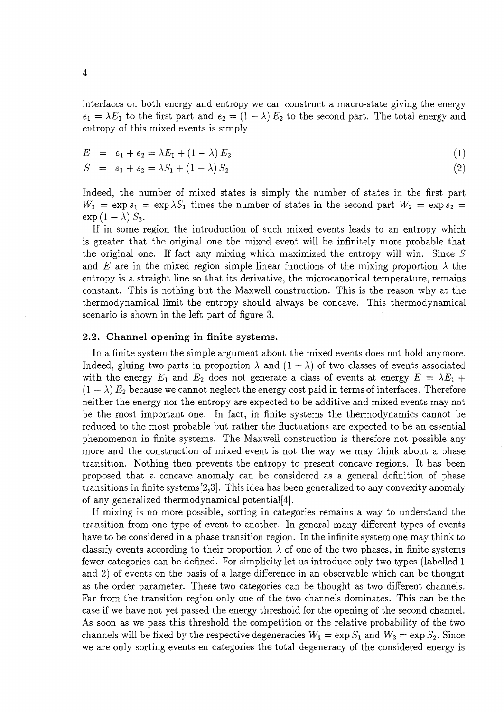interfaces on both energy and entropy we can construct a macro-state giving the energy  $e_1 = \lambda E_1$  to the first part and  $e_2 = (1 - \lambda) E_2$  to the second part. The total energy and entropy of this mixed events is simply

 $E = e_1 + e_2 = \lambda E_1 + (1 - \lambda) E_2$  (1)

$$
S = s_1 + s_2 = \lambda S_1 + (1 - \lambda) S_2 \tag{2}
$$

Indeed, the number of mixed states is simply the number of states in the first part  $W_1 = \exp s_1 = \exp \lambda S_1$  times the number of states in the second part  $W_2 = \exp s_2 =$  $\exp(1-\lambda) S_2$ .

If in some region the introduction of such mixed events leads to an entropy which is greater that the original one the mixed event will be infinitely more probable that the original one. If fact any mixing which maximized the entropy will win. Since *S* and E are in the mixed region simple linear functions of the mixing proportion  $\lambda$  the entropy is a straight line so that its derivative, the microcanonical temperature, remains constant. This is nothing but the Maxwell construction. This is the reason why at the thermodynamical limit the entropy should always be concave. This thermodynamical scenario is shown in the left part of figure 3.

#### **2.2, Channel opening in finite systems.**

In a finite system the simple argument about the mixed events does not hold anymore. Indeed, gluing two parts in proportion  $\lambda$  and  $(1 - \lambda)$  of two classes of events associated with the energy  $E_1$  and  $E_2$  does not generate a class of events at energy  $E = \lambda E_1 +$  $(1 - \lambda) E_2$  because we cannot neglect the energy cost paid in terms of interfaces. Therefore neither the energy nor the entropy are expected to be additive and mixed events may not be the most important one. In fact, in finite systems the thermodynamics cannot be reduced to the most probable but rather the fluctuations are expected to be an essential phenomenon in finite systems. The Maxwell construction is therefore not possible any more and the construction of mixed event is not the way we may think about a phase transition. Nothing then prevents the entropy to present concave regions. It has been proposed that a concave anomaly can be considered as a general definition of phase transitions in finite systems[2,3]. This idea has been generalized to any convexity anomaly of any generalized thermodynamical potential [4].

If mixing is no more possible, sorting in categories remains a way to understand the transition from one type of event to another. In general many different types of events have to be considered in a phase transition region. In the infinite system one may think to classify events according to their proportion  $\lambda$  of one of the two phases, in finite systems fewer categories can be defined. For simplicity let us introduce only two types (labelled 1 and 2) of events on the basis of a large difference in an observable which can be thought as the order parameter. These two categories can be thought as two different channels. Far from the transition region only one of the two channels dominates. This can be the case if we have not yet passed the energy threshold for the opening of the second channel. As soon as we pass this threshold the competition or the relative probability of the two channels will be fixed by the respective degeneracies  $W_1 = \exp S_1$  and  $W_2 = \exp S_2$ . Since we are only sorting events en categories the total degeneracy of the considered energy is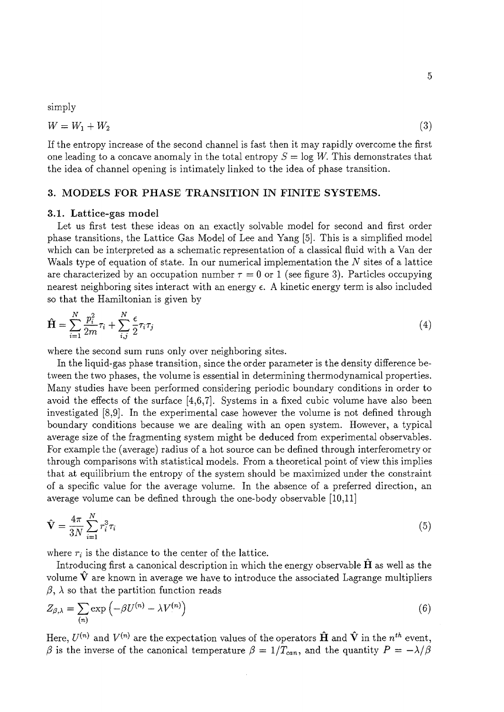simply

$$
W = W_1 + W_2 \tag{3}
$$

If the entropy increase of the second channel is fast then it may rapidly overcome the first one leading to a concave anomaly in the total entropy  $S = \log W$ . This demonstrates that the idea of channel opening is intimately linked to the idea of phase transition.

## **3. MODELS FOR PHASE TRANSITION IN FINITE SYSTEMS.**

#### **3.1. Lattice-gas model**

Let us first test these ideas on an exactly solvable model for second and first order phase transitions, the Lattice Gas Model of Lee and Yang [5]. This is a simplified model which can be interpreted as a schematic representation of a classical fluid with a Van der Waals type of equation of state. In our numerical implementation the *N* sites of a lattice are characterized by an occupation number  $\tau = 0$  or 1 (see figure 3). Particles occupying nearest neighboring sites interact with an energy  $\epsilon$ . A kinetic energy term is also included so that the Hamiltonian is given by

$$
\hat{\mathbf{H}} = \sum_{i=1}^{N} \frac{p_i^2}{2m} \tau_i + \sum_{i,j}^{N} \frac{\epsilon}{2} \tau_i \tau_j
$$
\n<sup>(4)</sup>

where the second sum runs only over neighboring sites.

In the liquid-gas phase transition, since the order parameter is the density difference between the two phases, the volume is essential in determining thermodynamical properties. Many studies have been performed considering periodic boundary conditions in order to avoid the effects of the surface [4,6,7]. Systems in a fixed cubic volume have also been investigated [8,9]. In the experimental case however the volume is not defined through boundary conditions because we are dealing with an open system. However, a typical average size of the fragmenting system might be deduced from experimental observables. For example the (average) radius of a hot source can be defined through interferometry or through comparisons with statistical models. From a theoretical point of view this implies that at equilibrium the entropy of the system should be maximized under the constraint of a specific value for the average volume. In the absence of a preferred direction, an average volume can be defined through the one-body observable [10,11]

$$
\hat{\mathbf{V}} = \frac{4\pi}{3N} \sum_{i=1}^{N} r_i^3 \tau_i \tag{5}
$$

where  $r_i$  is the distance to the center of the lattice.

Introducing first a canonical description in which the energy observable  $\hat{H}$  as well as the volume  $\hat{V}$  are known in average we have to introduce the associated Lagrange multipliers  $\beta$ ,  $\lambda$  so that the partition function reads

$$
Z_{\beta,\lambda} = \sum_{(n)} \exp\left(-\beta U^{(n)} - \lambda V^{(n)}\right) \tag{6}
$$

Here,  $U^{(n)}$  and  $V^{(n)}$  are the expectation values of the operators  ${\bf H}$  and  ${\bf V}$  in the  $n^{th}$  event,  $\beta$  is the inverse of the canonical temperature  $\beta = 1/T_{can}$ , and the quantity  $P = -\lambda/\beta$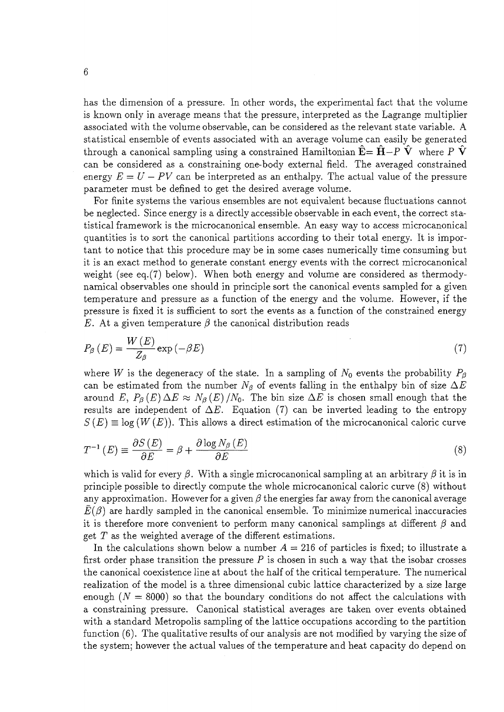has the dimension of a pressure. In other words, the experimental fact that the volume is known only in average means that the pressure, interpreted as the Lagrange multiplier associated with the volume observable, can be considered as the relevant state variable. A statistical ensemble of events associated with an average volume can easily be generated through a canonical sampling using a constrained Hamiltonian  $\hat{\mathbf{E}} = \hat{\mathbf{H}} - P \hat{\mathbf{V}}$  where  $P \hat{\mathbf{V}}$ can be considered as a constraining one-body external field. The averaged constrained energy  $E = U - PV$  can be interpreted as an enthalpy. The actual value of the pressure parameter must be defined to get the desired average volume.

For finite systems the various ensembles are not equivalent because fluctuations cannot be neglected. Since energy is a directly accessible observable in each event, the correct statistical framework is the microcanonical ensemble. An easy way to access microcanonical quantities is to sort the canonical partitions according to their total energy. It is important to notice that this procedure may be in some cases numerically time consuming but it is an exact method to generate constant energy events with the correct microcanonical weight (see eq.(7) below). When both energy and volume are considered as thermodynamical observables one should in principle sort the canonical events sampled for a given temperature and pressure as a function of the energy and the volume. However, if the pressure is fixed it is sufficient to sort the events as a function of the constrained energy E. At a given temperature  $\beta$  the canonical distribution reads

$$
P_{\beta}(E) = \frac{W(E)}{Z_{\beta}} \exp(-\beta E) \tag{7}
$$

where *W* is the degeneracy of the state. In a sampling of  $N_0$  events the probability  $P_\beta$ can be estimated from the number  $N_\beta$  of events falling in the enthalpy bin of size  $\Delta E$ around E,  $P_{\beta}(E) \Delta E \approx N_{\beta}(E)/N_0$ . The bin size  $\Delta E$  is chosen small enough that the results are independent of  $\Delta E$ . Equation (7) can be inverted leading to the entropy  $S(E) \equiv \log(W(E))$ . This allows a direct estimation of the microcanonical caloric curve

$$
T^{-1}(E) \equiv \frac{\partial S(E)}{\partial E} = \beta + \frac{\partial \log N_{\beta}(E)}{\partial E}
$$
 (8)

which is valid for every  $\beta$ . With a single microcanonical sampling at an arbitrary  $\beta$  it is in principle possible to directly compute the whole microcanonical caloric curve (8) without any approximation. However for a given  $\beta$  the energies far away from the canonical average  $E(\beta)$  are hardly sampled in the canonical ensemble. To minimize numerical inaccuracies it is therefore more convenient to perform many canonical samplings at different  $\beta$  and get *T* as the weighted average of the different estimations.

In the calculations shown below a number *A* = 216 of particles is fixed; to illustrate a first order phase transition the pressure  $P$  is chosen in such a way that the isobar crosses the canonical coexistence line at about the half of the critical temperature. The numerical realization of the model is a three dimensional cubic lattice characterized by a size large enough  $(N = 8000)$  so that the boundary conditions do not affect the calculations with a constraining pressure. Canonical statistical averages are taken over events obtained with a standard Metropolis sampling of the lattice occupations according to the partition function (6). The qualitative results of our analysis are not modified by varying the size of the system; however the actual values of the temperature and heat capacity do depend on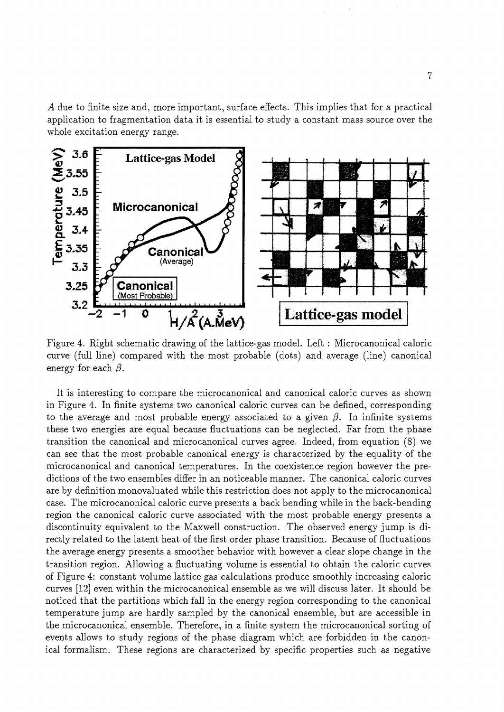*A* due to finite size and, more important, surface effects. This implies that for a practical application to fragmentation data it is essential to study a constant mass source over the whole excitation energy range.



Figure 4. Right schematic drawing of the lattice-gas model. Left : Microcanonical caloric curve (full line) compared with the most probable (dots) and average (line) canonical energy for each  $\beta$ .

It is interesting to compare the microcanonical and canonical caloric curves as shown in Figure 4. In finite systems two canonical caloric curves can be defined, corresponding to the average and most probable energy associated to a given  $\beta$ . In infinite systems these two energies are equal because fluctuations can be neglected. Far from the phase transition the canonical and microcanonical curves agree. Indeed, from equation (8) we can see that the most probable canonical energy is characterized by the equality of the microcanonical and canonical temperatures. In the coexistence region however the predictions of the two ensembles differ in an noticeable manner. The canonical caloric curves are by definition monovaluated while this restriction does not apply to the microcanonical case. The microcanonical caloric curve presents a back bending while in the back-bending region the canonical caloric curve associated with the most probable energy presents a discontinuity equivalent to the Maxwell construction. The observed energy jump is directly related to the latent heat of the first order phase transition. Because of fluctuations the average energy presents a smoother behavior with however a clear slope change in the transition region. Allowing a fluctuating volume is essential to obtain the caloric curves of Figure 4: constant volume lattice gas calculations produce smoothly increasing caloric curves [12] even within the microcanonical ensemble as we will discuss later. It should be noticed that the partitions which fall in the energy region corresponding to the canonical temperature jump are hardly sampled by the canonical ensemble, but are accessible in the microcanonical ensemble. Therefore, in a finite system the microcanonical sorting of events allows to study regions of the phase diagram which are forbidden in the canonical formalism. These regions are characterized by specific properties such as negative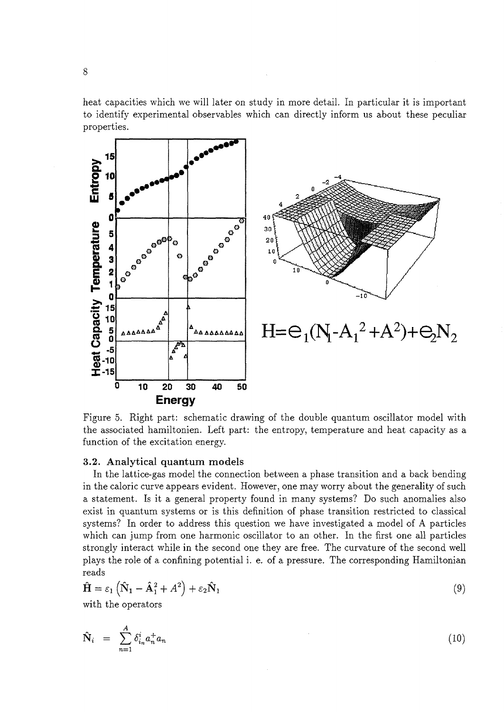heat capacities which we will later on study in more detail. In particular it is important to identify experimental observables which can directly inform us about these peculiar properties.





Figure 5. Right part: schematic drawing of the double quantum oscillator model with the associated hamiltonien. Left part: the entropy, temperature and heat capacity as a function of the excitation energy.

## **3.2. Analytical quantum models**

In the lattice-gas model the connection between a phase transition and a back bending in the caloric curve appears evident. However, one may worry about the generality of such a statement. Is it a general property found in many systems? Do such anomalies also exist in quantum systems or is this definition of phase transition restricted to classical systems? In order to address this question we have investigated a model of A particles which can jump from one harmonic oscillator to an other. In the first one all particles strongly interact while in the second one they are free. The curvature of the second well plays the role of a confining potential i. e. of a pressure. The corresponding Hamiltonian reads

$$
\hat{\mathbf{H}} = \varepsilon_1 \left( \hat{\mathbf{N}}_1 - \hat{\mathbf{A}}_1^2 + A^2 \right) + \varepsilon_2 \hat{\mathbf{N}}_1 \tag{9}
$$

with the operators

$$
\hat{\mathbf{N}}_i = \sum_{n=1}^A \delta_{i_n}^i a_n^+ a_n \tag{10}
$$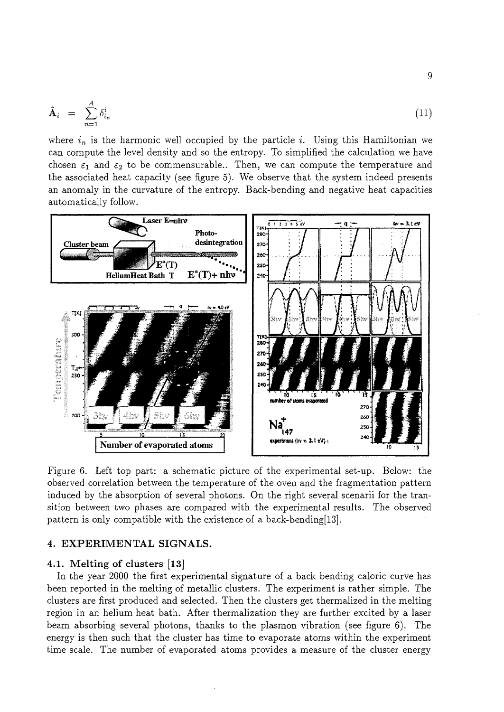$$
\hat{\mathbf{A}}_i = \sum_{n=1}^A \delta_{i_n}^i \tag{11}
$$

where  $i_n$  is the harmonic well occupied by the particle i. Using this Hamiltonian we can compute the level density and so the entropy. To simplified the calculation we have chosen  $\varepsilon_1$  and  $\varepsilon_2$  to be commensurable.. Then, we can compute the temperature and the associated heat capacity (see figure 5). We observe that the system indeed presents an anomaly in the curvature of the entropy. Back-bending and negative heat capacities automatically follow.



Figure 6. Left top part: a schematic picture of the experimental set-up. Below: the observed correlation between the temperature of the oven and the fragmentation pattern induced by the absorption of several photons. On the right several scenarii for the transition between two phases are compared with the experimental results. The observed pattern is only compatible with the existence of a back-bending[13].

## **4. EXPERIMENTAL SIGNALS.**

#### **4.1. Melting of clusters [13]**

In the year 2000 the first experimental signature of a back bending caloric curve has been reported in the melting of metallic clusters. The experiment is rather simple. The clusters are first produced and selected. Then the clusters get thermalized in the melting region in an helium heat bath. After thermalization they are further excited by a laser beam absorbing several photons, thanks to the plasmon vibration (see figure 6). The energy is then such that the cluster has time to evaporate atoms within the experiment time scale. The number of evaporated atoms provides a measure of the cluster energy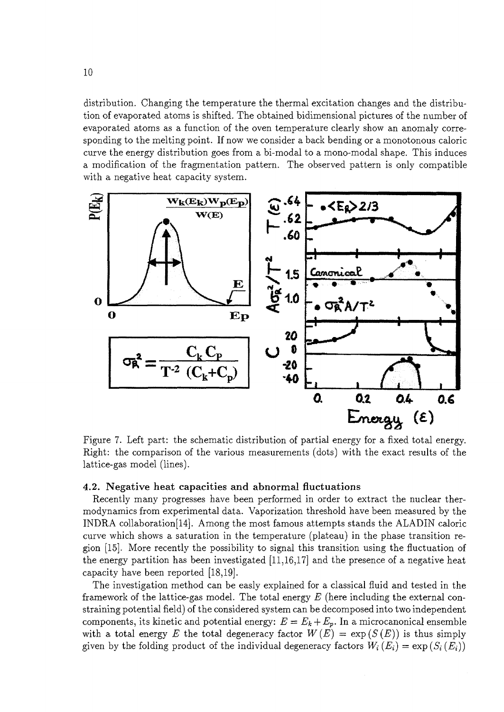distribution. Changing the temperature the thermal excitation changes and the distribution of evaporated atoms is shifted. The obtained bidimensional pictures of the number of evaporated atoms as a function of the oven temperature clearly show an anomaly corresponding to the melting point. If now we consider a back bending or a monotonous caloric curve the energy distribution goes from a bi-modal to a mono-modal shape. This induces a modification of the fragmentation pattern. The observed pattern is only compatible with a negative heat capacity system.



Figure 7. Left part: the schematic distribution of partial energy for a fixed total energy. Right: the comparison of the various measurements (dots) with the exact results of the lattice-gas model (lines).

#### **4.2. Negative heat capacities and abnormal fluctuations**

Recently many progresses have been performed in order to extract the nuclear thermodynamics from experimental data. Vaporization threshold have been measured by the INDRA collaboration[14]. Among the most famous attempts stands the ALADIN caloric curve which shows a saturation in the temperature (plateau) in the phase transition region [15]. More recently the possibility to signal this transition using the fluctuation of the energy partition has been investigated [11,16,17] and the presence of a negative heat capacity have been reported [18,19].

The investigation method can be easly explained for a classical fluid and tested in the framework of the lattice-gas model. The total energy *E* (here including the external constraining potential field) of the considered system can be decomposed into two independent components, its kinetic and potential energy:  $E = E_k + E_p$ . In a microcanonical ensemble with a total energy E the total degeneracy factor  $W(E) = \exp(S(E))$  is thus simply given by the folding product of the individual degeneracy factors  $W_i(E_i) = \exp(S_i(E_i))$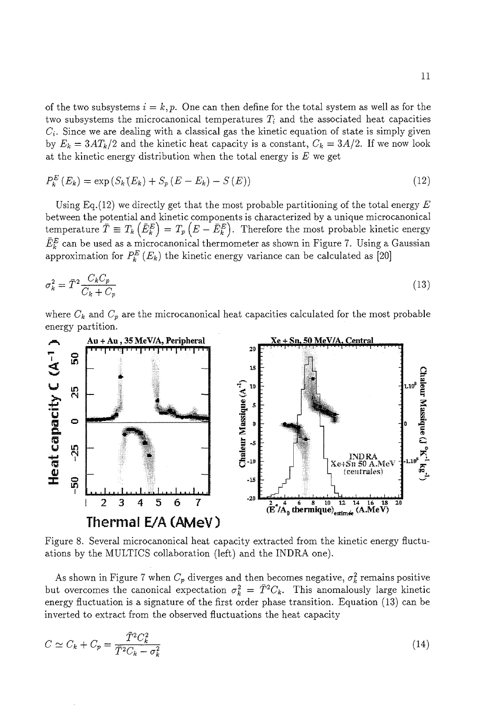of the two subsystems  $i = k, p$ . One can then define for the total system as well as for the two subsystems the microcanonical temperatures  $T_i$  and the associated heat capacities *C{.* Since we are dealing with a classical gas the kinetic equation of state is simply given by  $E_k = 3AT_k/2$  and the kinetic heat capacity is a constant,  $C_k = 3A/2$ . If we now look at the kinetic energy distribution when the total energy is *E* we get

$$
P_k^E(E_k) = \exp(S_k(E_k) + S_p(E - E_k) - S(E))
$$
\n(12)

Using Eq.(12) we directly get that the most probable partitioning of the total energy *E* between the potential and kinetic components is characterized by a unique microcanonical temperature  $\bar{T} \equiv T_k \left( \bar{E}^E_k \right) = T_p \left( E - \bar{E}^E_k \right)$ . Therefore the most probable kinetic energy  $\bar{E}^E_k$  can be used as a microcanonical thermometer as shown in Figure 7. Using a Gaussian approximation for  $P_k^E(E_k)$  the kinetic energy variance can be calculated as [20]

$$
\sigma_k^2 = \bar{T}^2 \frac{C_k C_p}{C_k + C_p} \tag{13}
$$

where  $C_k$  and  $C_p$  are the microcanonical heat capacities calculated for the most probable energy partition.



Figure 8. Several microcanonical heat capacity extracted from the kinetic energy fluctuations by the MULTICS collaboration (left) and the INDRA one).

As shown in Figure 7 when  $C_p$  diverges and then becomes negative,  $\sigma_k^2$  remains positive but overcomes the canonical expectation  $\sigma_k^2 = \overline{T}^2 C_k$ . This anomalously large kinetic energy fluctuation is a signature of the first order phase transition. Equation (13) can be inverted to extract from the observed fluctuations the heat capacity

$$
C \simeq C_k + C_p = \frac{\bar{T}^2 C_k^2}{\bar{T}^2 C_k - \sigma_k^2} \tag{14}
$$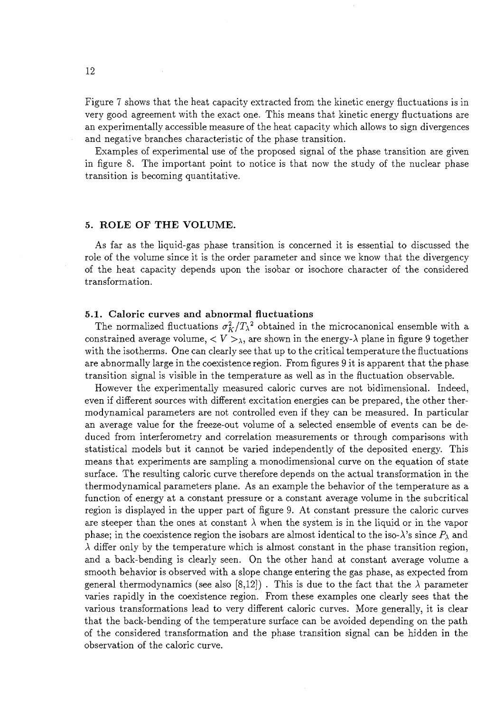Figure 7 shows that the heat capacity extracted from the kinetic energy fluctuations is in very good agreement with the exact one. This means that kinetic energy fluctuations are an experimentally accessible measure of the heat capacity which allows to sign divergences and negative branches characteristic of the phase transition.

Examples of experimental use of the proposed signal of the phase transition are given in figure 8. The important point to notice is that now the study of the nuclear phase transition is becoming quantitative.

## 5. **ROLE OF THE VOLUME.**

As far as the liquid-gas phase transition is concerned it is essential to discussed the role of the volume since it is the order parameter and since we know that the divergency of the heat capacity depends upon the isobar or isochore character of the considered transformation.

#### **5.1. Caloric curves and abnormal fluctuations**

The normalized fluctuations  $\sigma_K^2/T_\lambda^2$  obtained in the microcanonical ensemble with a constrained average volume,  $\langle V \rangle_{\lambda}$ , are shown in the energy- $\lambda$  plane in figure 9 together with the isotherms. One can clearly see that up to the critical temperature the fluctuations are abnormally large in the coexistence region. From figures 9 it is apparent that the phase transition signal is visible in the temperature as well as in the fluctuation observable.

However the experimentally measured caloric curves are not bidimensional. Indeed, even if different sources with different excitation energies can be prepared, the other thermodynamical parameters are not controlled even if they can be measured. In particular an average value for the freeze-out volume of a selected ensemble of events can be deduced from interferometry and correlation measurements or through comparisons with statistical models but it cannot be varied independently of the deposited energy. This means that experiments are sampling a monodimensional curve on the equation of state surface. The resulting caloric curve therefore depends on the actual transformation in the thermodynamical parameters plane. As an example the behavior of the temperature as a function of energy at a constant pressure or a constant average volume in the subcritical region is displayed in the upper part of figure 9. At constant pressure the caloric curves are steeper than the ones at constant  $\lambda$  when the system is in the liquid or in the vapor phase; in the coexistence region the isobars are almost identical to the iso- $\lambda$ 's since  $P_\lambda$  and  $\lambda$  differ only by the temperature which is almost constant in the phase transition region, and a back-bending is clearly seen. On the other hand at constant average volume a smooth behavior is observed with a slope change entering the gas phase, as expected from general thermodynamics (see also [8,12]). This is due to the fact that the  $\lambda$  parameter varies rapidly in the coexistence region. From these examples one clearly sees that the various transformations lead to very different caloric curves. More generally, it is clear that the back-bending of the temperature surface can be avoided depending on the path of the considered transformation and the phase transition signal can be hidden in the observation of the caloric curve.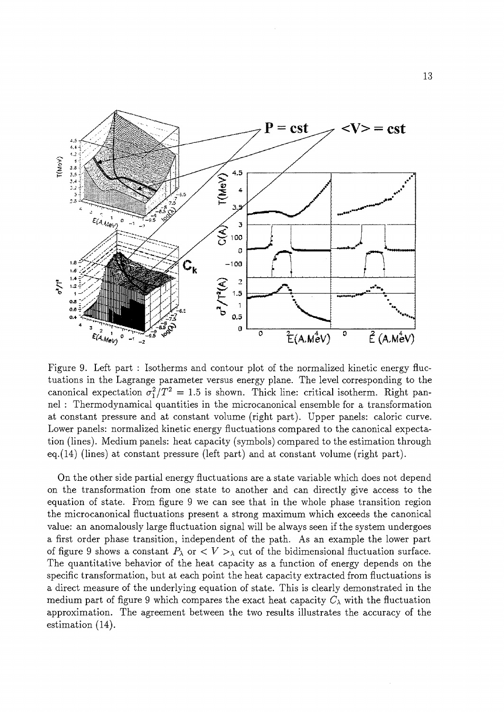

Figure 9. Left part : Isotherms and contour plot of the normalized kinetic energy fluctuations in the Lagrange parameter versus energy plane. The level corresponding to the canonical expectation  $\sigma_1^2/T^2 = 1.5$  is shown. Thick line: critical isotherm. Right pannel : Thermodynamical quantities in the microcanonical ensemble for a transformation at constant pressure and at constant volume (right part). Upper panels: caloric curve. Lower panels: normalized kinetic energy fluctuations compared to the canonical expectation (lines). Medium panels: heat capacity (symbols) compared to the estimation through eq.(14) (lines) at constant pressure (left part) and at constant volume (right part).

On the other side partial energy fluctuations are a state variable which does not depend on the transformation from one state to another and can directly give access to the equation of state. From figure 9 we can see that in the whole phase transition region the microcanonical fluctuations present a strong maximum which exceeds the canonical value: an anomalously large fluctuation signal will be always seen if the system undergoes a first order phase transition, independent of the path. As an example the lower part of figure 9 shows a constant  $P_\lambda$  or  $\langle V \rangle_\lambda$  cut of the bidimensional fluctuation surface. The quantitative behavior of the heat capacity as a function of energy depends on the specific transformation, but at each point the heat capacity extracted from fluctuations is a direct measure of the underlying equation of state. This is clearly demonstrated in the medium part of figure 9 which compares the exact heat capacity  $C_\lambda$  with the fluctuation approximation. The agreement between the two results illustrates the accuracy of the estimation (14).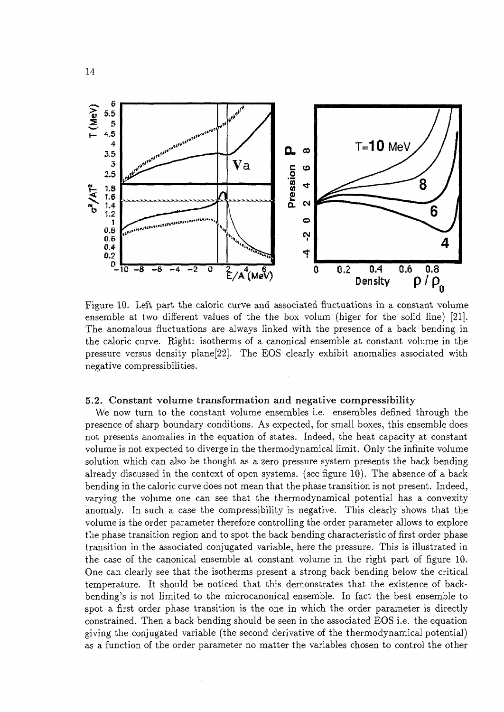

Figure 10. Left part the caloric curve and associated fluctuations in a constant volume ensemble at two different values of the the box volum (higer for the solid line) [21]. The anomalous fluctuations are always linked with the presence of a back bending in the caloric curve. Right: isotherms of a canonical ensemble at constant volume in the pressure versus density plane[22]. The EOS clearly exhibit anomalies associated with negative compressibilities.

#### **5.2. Constant volume transformation and negative compressibility**

We now turn to the constant volume ensembles i.e. ensembles defined through the presence of sharp boundary conditions. As expected, for small boxes, this ensemble does not presents anomalies in the equation of states. Indeed, the heat capacity at constant volume is not expected to diverge in the thermodynamical limit. Only the infinite volume solution which can also be thought as a zero pressure system presents the back bending already discussed in the context of open systems, (see figure 10). The absence of a back bending in the caloric curve does not mean that the phase transition is not present. Indeed, varying the volume one can see that the thermodynamical potential has a convexity anomaly. In such a case the compressibility is negative. This clearly shows that the volume is the order parameter therefore controlling the order parameter allows to explore the phase transition region and to spot the back bending characteristic of first order phase transition in the associated conjugated variable, here the pressure. This is illustrated in the case of the canonical ensemble at constant volume in the right part of figure 10. One can clearly see that the isotherms present a strong back bending below the critical temperature. It should be noticed that this demonstrates that the existence of backbending's is not limited to the microcanonical ensemble. In fact the best ensemble to spot a first order phase transition is the one in which the order parameter is directly constrained. Then a back bending should be seen in the associated EOS i.e. the equation giving the conjugated variable (the second derivative of the thermodynamical potential) as a function of the order parameter no matter the variables chosen to control the other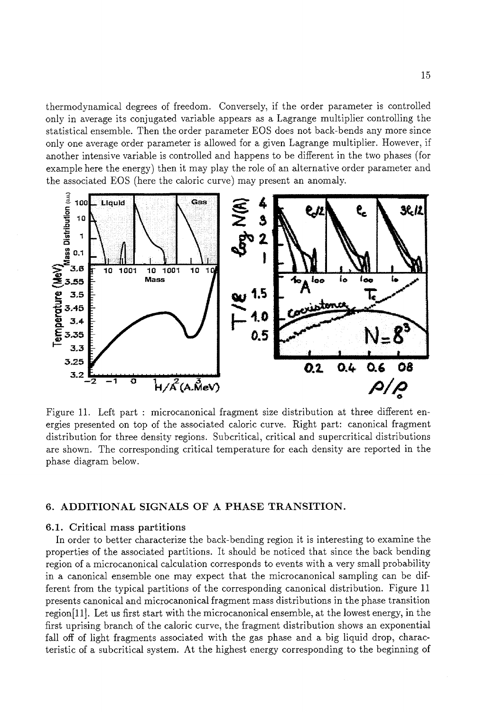thermodynamical degrees of freedom. Conversely, if the order parameter is controlled only in average its conjugated variable appears as a Lagrange multiplier controlling the statistical ensemble. Then the order parameter EOS does not back-bends any more since only one average order parameter is allowed for a given Lagrange multiplier. However, if another intensive variable is controlled and happens to be different in the two phases (for example here the energy) then it may play the role of an alternative order parameter and the associated EOS (here the caloric curve) may present an anomaly.



Figure 11. Left part : microcanonical fragment size distribution at three different energies presented on top of the associated caloric curve. Right part: canonical fragment distribution for three density regions. Subcritical, critical and supercritical distributions are shown. The corresponding critical temperature for each density are reported in the phase diagram below.

## **6. ADDITIONAL SIGNALS OF A PHASE TRANSITION.**

#### **6.1. Critical mass partitions**

In order to better characterize the back-bending region it is interesting to examine the properties of the associated partitions. It should be noticed that since the back bending region of a microcanonical calculation corresponds to events with a very small probability in a canonical ensemble one may expect that the microcanonical sampling can be different from the typical partitions of the corresponding canonical distribution. Figure 11 presents canonical and microcanonical fragment mass distributions in the phase transition region<sup>[11]</sup>. Let us first start with the microcanonical ensemble, at the lowest energy, in the first uprising branch of the caloric curve, the fragment distribution shows an exponential fall off of light fragments associated with the gas phase and a big liquid drop, characteristic of a subcritical system. At the highest energy corresponding to the beginning of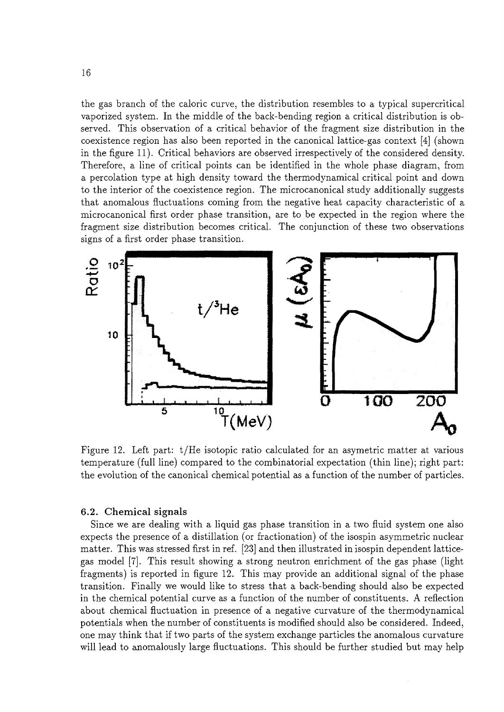the gas branch of the caloric curve, the distribution resembles to a typical supercritical vaporized system. In the middle of the back-bending region a critical distribution is observed. This observation of a critical behavior of the fragment size distribution in the coexistence region has also been reported in the canonical lattice-gas context [4] (shown in the figure 11). Critical behaviors are observed irrespectively of the considered density. Therefore, a line of critical points can be identified in the whole phase diagram, from a percolation type at high density toward the thermodynamical critical point and down to the interior of the coexistence region. The microcanonical study additionally suggests that anomalous fluctuations coming from the negative heat capacity characteristic of a microcanonical first order phase transition, are to be expected in the region where the fragment size distribution becomes critical. The conjunction of these two observations signs of a first order phase transition.



Figure 12. Left part: t/He isotopic ratio calculated for an asymetric matter at various temperature (full line) compared to the combinatorial expectation (thin line); right part: the evolution of the canonical chemical potential as a function of the number of particles.

#### **6.2. Chemical signals**

Since we are dealing with a liquid gas phase transition in a two fluid system one also expects the presence of a distillation (or fractionation) of the isospin asymmetric nuclear matter. This was stressed first in ref. [23] and then illustrated in isospin dependent latticegas model [7]. This result showing a strong neutron enrichment of the gas phase (light fragments) is reported in figure 12. This may provide an additional signal of the phase transition. Finally we would like to stress that a back-bending should also be expected in the chemical potential curve as a function of the number of constituents. A reflection about chemical fluctuation in presence of a negative curvature of the thermodynamical potentials when the number of constituents is modified should also be considered. Indeed, one may think that if two parts of the system exchange particles the anomalous curvature will lead to anomalously large fluctuations. This should be further studied but may help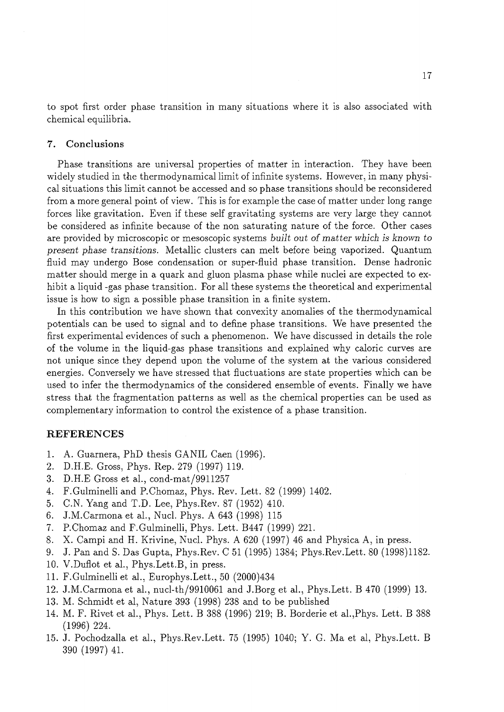to spot first order phase transition in many situations where it is also associated with chemical equilibria.

## 7. Conclusions

Phase transitions are universal properties of matter in interaction. They have been widely studied in the thermodynamical limit of infinite systems. However, in many physical situations this limit cannot be accessed and so phase transitions should be reconsidered from a more general point of view. This is for example the case of matter under long range forces like gravitation. Even if these self gravitating systems are very large they cannot be considered as infinite because of the non saturating nature of the force. Other cases are provided by microscopic or mesoscopic systems *built out of matter which is known to present phase transitions.* Metallic clusters can melt before being vaporized. Quantum fluid may undergo Bose condensation or super-fluid phase transition. Dense hadronic matter should merge in a quark and gluon plasma phase while nuclei are expected to exhibit a liquid -gas phase transition. For all these systems the theoretical and experimental issue is how to sign a possible phase transition in a finite system.

In this contribution we have shown that convexity anomalies of the thermodynamical potentials can be used to signal and to define phase transitions. We have presented the first experimental evidences of such a phenomenon. We have discussed in details the role of the volume in the liquid-gas phase transitions and explained why caloric curves are not unique since they depend upon the volume of the system at the various considered energies. Conversely we have stressed that fluctuations are state properties which can be used to infer the thermodynamics of the considered ensemble of events. Finally we have stress that the fragmentation patterns as well as the chemical properties can be used as complementary information to control the existence of a phase transition.

#### **REFERENCES**

- 1. A. Guarnera, PhD thesis GANIL Caen (1996).
- 2. D.H.E. Gross, Phys. Rep. 279 (1997) 119.
- 3. D.H.E Gross et al., cond-mat/9911257
- 4. F.Gulminelli and P.Chomaz, Phys. Rev. Lett. 82 (1999) 1402.
- 5. C.N. Yang and T.D. Lee, Phys.Rev. 87 (1952) 410.
- 6. J.M.Carmona et al., Nucl. Phys. A 643 (1998) 115
- 7. P.Chomaz and F.Gulminelli, Phys. Lett. B447 (1999) 221.
- 8. X. Campi and H. Krivine, Nucl. Phys. A 620 (1997) 46 and Physica A, in press.
- 9. J. Pan and S. Das Gupta, Phys.Rev. C 51 (1995) 1384; Phys.Rev.Lett. 80 (1998)1182.
- 10. V.Duflot et al., Phys.Lett.B, in press.
- 11. F.Gulminelli et al., Europhys.Lett., 50 (2000)434
- 12. J.M.Carmona et al., nucl-th/9910061 and J.Borg et al., Phys.Lett. B 470 (1999) 13.
- 13. M. Schmidt et al, Nature 393 (1998) 238 and to be published
- 14. M. F. Rivet et al., Phys. Lett. B 388 (1996) 219; B. Borderie et al.,Phys. Lett. B 388 (1996) 224.
- 15. J. Pochodzalla et al., Phys.Rev.Lett. 75 (1995) 1040; Y. G. Ma et al, Phys.Lett. B 390 (1997) 41.